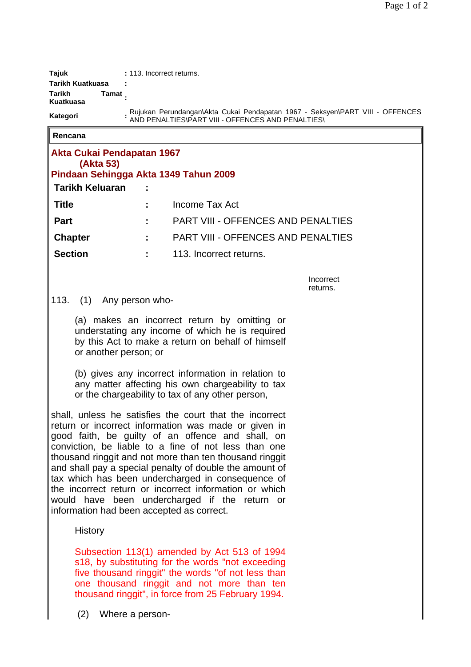| Taiuk               | : 113. Incorrect returns.                                                                                                          |
|---------------------|------------------------------------------------------------------------------------------------------------------------------------|
| Tarikh Kuatkuasa    |                                                                                                                                    |
| Tarikh<br>Kuatkuasa | Tamat                                                                                                                              |
| Kategori            | Rujukan Perundangan\Akta Cukai Pendapatan 1967 - Seksyen\PART VIII - OFFENCES<br>AND PENALTIES\PART VIII - OFFENCES AND PENALTIES\ |

**Rencana**

| Akta Cukai Pendapatan 1967<br>(Akta 53)<br>Pindaan Sehingga Akta 1349 Tahun 2009 |                                           |
|----------------------------------------------------------------------------------|-------------------------------------------|
| <b>Tarikh Keluaran</b>                                                           |                                           |
| <b>Title</b>                                                                     | Income Tax Act                            |
| <b>Part</b>                                                                      | <b>PART VIII - OFFENCES AND PENALTIES</b> |
| <b>Chapter</b>                                                                   | <b>PART VIII - OFFENCES AND PENALTIES</b> |
| <b>Section</b>                                                                   | 113. Incorrect returns.                   |
|                                                                                  | Incorrect                                 |

Incorrect returns.

## 113. (1) Any person who-

(a) makes an incorrect return by omitting or understating any income of which he is required by this Act to make a return on behalf of himself or another person; or

(b) gives any incorrect information in relation to any matter affecting his own chargeability to tax or the chargeability to tax of any other person,

shall, unless he satisfies the court that the incorrect return or incorrect information was made or given in good faith, be guilty of an offence and shall, on conviction, be liable to a fine of not less than one thousand ringgit and not more than ten thousand ringgit and shall pay a special penalty of double the amount of tax which has been undercharged in consequence of the incorrect return or incorrect information or which would have been undercharged if the return or information had been accepted as correct.

History

Subsection 113(1) amended by Act 513 of 1994 s18, by substituting for the words "not exceeding five thousand ringgit" the words "of not less than one thousand ringgit and not more than ten thousand ringgit", in force from 25 February 1994.

(2) Where a person-